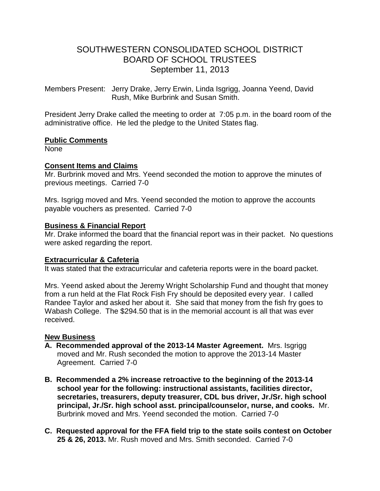# SOUTHWESTERN CONSOLIDATED SCHOOL DISTRICT BOARD OF SCHOOL TRUSTEES September 11, 2013

Members Present: Jerry Drake, Jerry Erwin, Linda Isgrigg, Joanna Yeend, David Rush, Mike Burbrink and Susan Smith.

President Jerry Drake called the meeting to order at 7:05 p.m. in the board room of the administrative office. He led the pledge to the United States flag.

#### **Public Comments**

None

### **Consent Items and Claims**

Mr. Burbrink moved and Mrs. Yeend seconded the motion to approve the minutes of previous meetings. Carried 7-0

Mrs. Isgrigg moved and Mrs. Yeend seconded the motion to approve the accounts payable vouchers as presented. Carried 7-0

#### **Business & Financial Report**

Mr. Drake informed the board that the financial report was in their packet. No questions were asked regarding the report.

### **Extracurricular & Cafeteria**

It was stated that the extracurricular and cafeteria reports were in the board packet.

Mrs. Yeend asked about the Jeremy Wright Scholarship Fund and thought that money from a run held at the Flat Rock Fish Fry should be deposited every year. I called Randee Taylor and asked her about it. She said that money from the fish fry goes to Wabash College. The \$294.50 that is in the memorial account is all that was ever received.

### **New Business**

- **A. Recommended approval of the 2013-14 Master Agreement.** Mrs. Isgrigg moved and Mr. Rush seconded the motion to approve the 2013-14 Master Agreement. Carried 7-0
- **B. Recommended a 2% increase retroactive to the beginning of the 2013-14 school year for the following: instructional assistants, facilities director, secretaries, treasurers, deputy treasurer, CDL bus driver, Jr./Sr. high school principal, Jr./Sr. high school asst. principal/counselor, nurse, and cooks.** Mr. Burbrink moved and Mrs. Yeend seconded the motion. Carried 7-0
- **C. Requested approval for the FFA field trip to the state soils contest on October 25 & 26, 2013.** Mr. Rush moved and Mrs. Smith seconded. Carried 7-0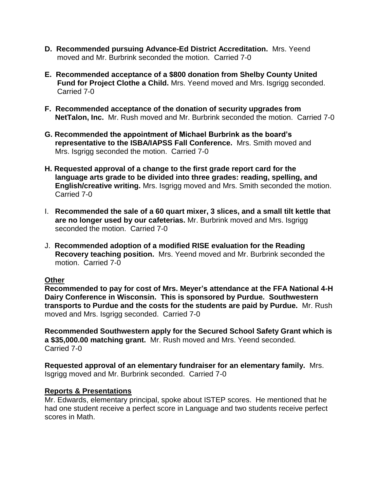- **D. Recommended pursuing Advance-Ed District Accreditation.** Mrs. Yeend moved and Mr. Burbrink seconded the motion. Carried 7-0
- **E. Recommended acceptance of a \$800 donation from Shelby County United Fund for Project Clothe a Child.** Mrs. Yeend moved and Mrs. Isgrigg seconded. Carried 7-0
- **F. Recommended acceptance of the donation of security upgrades from NetTalon, Inc.** Mr. Rush moved and Mr. Burbrink seconded the motion. Carried 7-0
- **G. Recommended the appointment of Michael Burbrink as the board's representative to the ISBA/IAPSS Fall Conference.** Mrs. Smith moved and Mrs. Isgrigg seconded the motion. Carried 7-0
- **H. Requested approval of a change to the first grade report card for the language arts grade to be divided into three grades: reading, spelling, and English/creative writing.** Mrs. Isgrigg moved and Mrs. Smith seconded the motion. Carried 7-0
- I. **Recommended the sale of a 60 quart mixer, 3 slices, and a small tilt kettle that are no longer used by our cafeterias.** Mr. Burbrink moved and Mrs. Isgrigg seconded the motion. Carried 7-0
- J. **Recommended adoption of a modified RISE evaluation for the Reading Recovery teaching position.** Mrs. Yeend moved and Mr. Burbrink seconded the motion. Carried 7-0

### **Other**

**Recommended to pay for cost of Mrs. Meyer's attendance at the FFA National 4-H Dairy Conference in Wisconsin. This is sponsored by Purdue. Southwestern transports to Purdue and the costs for the students are paid by Purdue.** Mr. Rush moved and Mrs. Isgrigg seconded. Carried 7-0

**Recommended Southwestern apply for the Secured School Safety Grant which is a \$35,000.00 matching grant.** Mr. Rush moved and Mrs. Yeend seconded. Carried 7-0

**Requested approval of an elementary fundraiser for an elementary family.** Mrs. Isgrigg moved and Mr. Burbrink seconded. Carried 7-0

### **Reports & Presentations**

Mr. Edwards, elementary principal, spoke about ISTEP scores. He mentioned that he had one student receive a perfect score in Language and two students receive perfect scores in Math.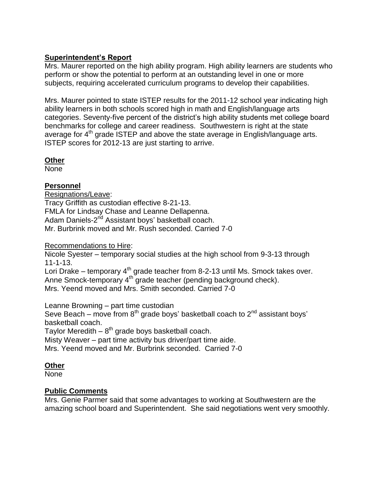### **Superintendent's Report**

Mrs. Maurer reported on the high ability program. High ability learners are students who perform or show the potential to perform at an outstanding level in one or more subjects, requiring accelerated curriculum programs to develop their capabilities.

Mrs. Maurer pointed to state ISTEP results for the 2011-12 school year indicating high ability learners in both schools scored high in math and English/language arts categories. Seventy-five percent of the district's high ability students met college board benchmarks for college and career readiness. Southwestern is right at the state average for 4<sup>th</sup> grade ISTEP and above the state average in English/language arts. ISTEP scores for 2012-13 are just starting to arrive.

**Other**

None

## **Personnel**

Resignations/Leave: Tracy Griffith as custodian effective 8-21-13. FMLA for Lindsay Chase and Leanne Dellapenna. Adam Daniels-2<sup>nd</sup> Assistant boys' basketball coach. Mr. Burbrink moved and Mr. Rush seconded. Carried 7-0

Recommendations to Hire:

Nicole Syester – temporary social studies at the high school from 9-3-13 through 11-1-13.

Lori Drake – temporary 4<sup>th</sup> grade teacher from 8-2-13 until Ms. Smock takes over. Anne Smock-temporary 4th grade teacher (pending background check). Mrs. Yeend moved and Mrs. Smith seconded. Carried 7-0

Leanne Browning – part time custodian

Seve Beach – move from  $8<sup>th</sup>$  grade boys' basketball coach to  $2<sup>nd</sup>$  assistant boys' basketball coach.

Taylor Meredith –  $8^{\text{th}}$  grade boys basketball coach.

Misty Weaver – part time activity bus driver/part time aide.

Mrs. Yeend moved and Mr. Burbrink seconded. Carried 7-0

### **Other**

None

# **Public Comments**

Mrs. Genie Parmer said that some advantages to working at Southwestern are the amazing school board and Superintendent. She said negotiations went very smoothly.